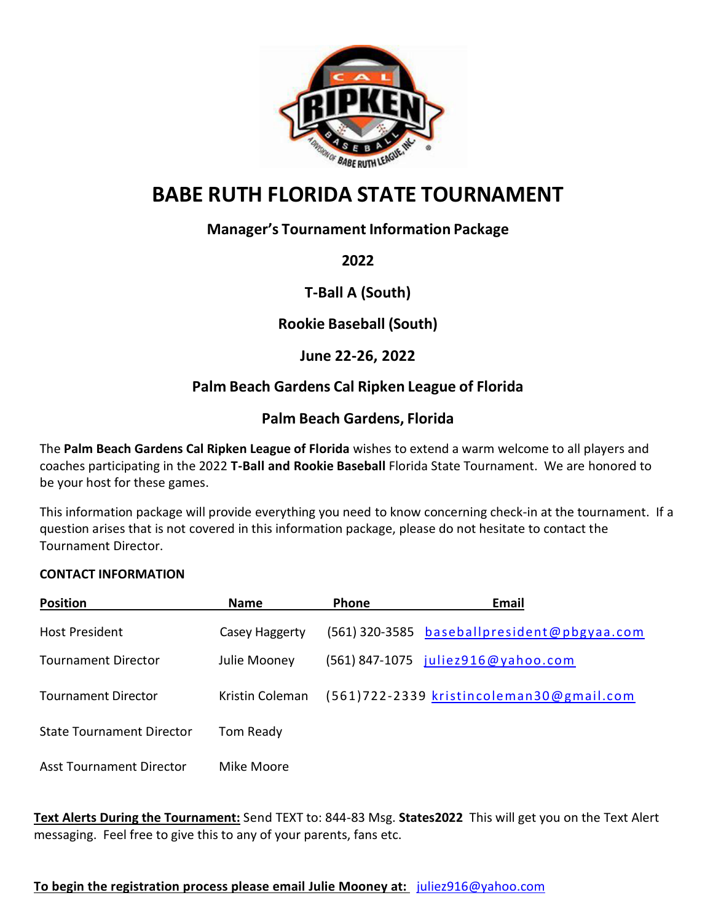

# **BABE RUTH FLORIDA STATE TOURNAMENT**

# **Manager's Tournament Information Package**

**2022**

**T-Ball A (South)**

**Rookie Baseball (South)** 

# **June 22-26, 2022**

# **Palm Beach Gardens Cal Ripken League of Florida**

# **Palm Beach Gardens, Florida**

The **Palm Beach Gardens Cal Ripken League of Florida** wishes to extend a warm welcome to all players and coaches participating in the 2022 **T-Ball and Rookie Baseball** Florida State Tournament. We are honored to be your host for these games.

This information package will provide everything you need to know concerning check-in at the tournament. If a question arises that is not covered in this information package, please do not hesitate to contact the Tournament Director.

## **CONTACT INFORMATION**

| <b>Position</b>                  | <b>Name</b>     | Phone | Email                                       |
|----------------------------------|-----------------|-------|---------------------------------------------|
| <b>Host President</b>            | Casey Haggerty  |       | (561) 320-3585 baseballpresident@pbgyaa.com |
| Tournament Director              | Julie Mooney    |       | (561) 847-1075 juliez916@yahoo.com          |
| <b>Tournament Director</b>       | Kristin Coleman |       | (561)722-2339 kristincoleman30@gmail.com    |
| <b>State Tournament Director</b> | Tom Ready       |       |                                             |
| <b>Asst Tournament Director</b>  | Mike Moore      |       |                                             |

**Text Alerts During the Tournament:** Send TEXT to: 844-83 Msg. **States2022** This will get you on the Text Alert messaging. Feel free to give this to any of your parents, fans etc.

## **To begin the registration process please email Julie Mooney at:** [juliez916@yahoo.com](mailto:juliez916@yahoo.com)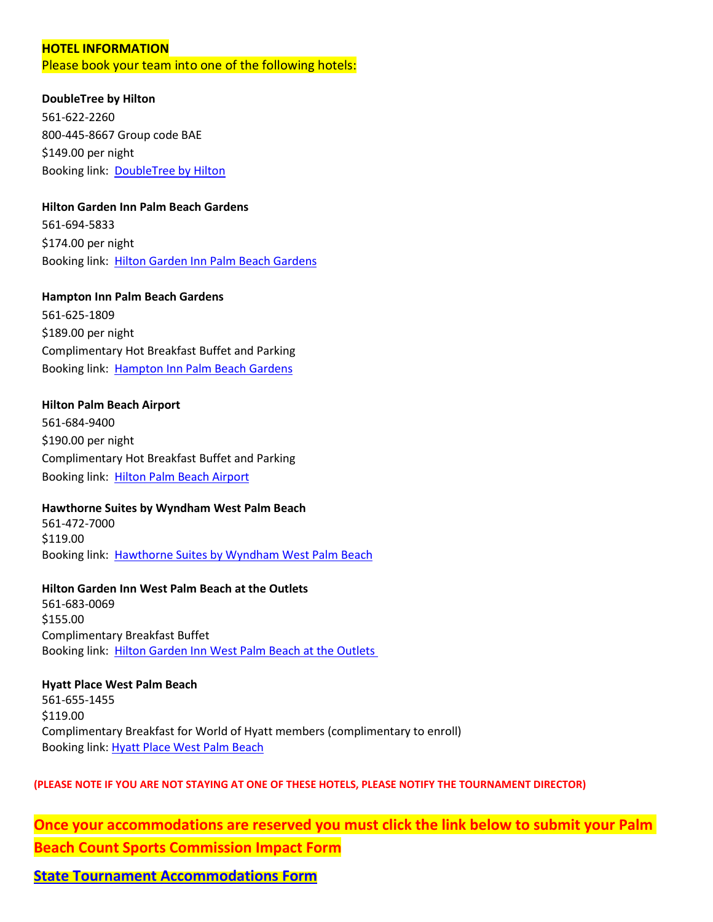#### **HOTEL INFORMATION**

Please book your team into one of the following hotels:

#### **DoubleTree by Hilton**

561-622-2260 800-445-8667 Group code BAE \$149.00 per night Booking link: [DoubleTree by Hilton](https://www.hilton.com/en/attend-my-event/baberuthtournamentblock2022/)

#### **Hilton Garden Inn Palm Beach Gardens**

561-694-5833 \$174.00 per night Booking link: [Hilton Garden Inn Palm Beach Gardens](https://www.hilton.com/en/book/reservation/deeplink/?ctyhocn=PBIGDGI&groupCode=TBALL&arrivaldate=2022-06-21&departuredate=2022-06-26&cid=OM,WW,HILTONLINK,EN,DirectLink&fromId=HILTONLINKDIRECT)

**Hampton Inn Palm Beach Gardens** 561-625-1809 \$189.00 per night Complimentary Hot Breakfast Buffet and Parking Booking link: [Hampton Inn Palm Beach Gardens](https://www.hilton.com/en/book/reservation/deeplink/?ctyhocn=PBIHHHX&groupCode=CHHRST&arrivaldate=2022-06-21&departuredate=2022-06-26&cid=OM,WW,HILTONLINK,EN,DirectLink&fromId=HILTONLINKDIRECT)

# **Hilton Palm Beach Airport**

561-684-9400 \$190.00 per night Complimentary Hot Breakfast Buffet and Parking Booking link: [Hilton Palm Beach Airport](https://www.hilton.com/en/book/reservation/deeplink/?ctyhocn=PBIAHHF&groupCode=TBA22&arrivaldate=2022-06-21&departuredate=2022-06-26&cid=OM,WW,HILTONLINK,EN,DirectLink&fromId=HILTONLINKDIRECT)

## **Hawthorne Suites by Wyndham West Palm Beach**

561-472-7000 \$119.00 Booking link: [Hawthorne Suites by Wyndham West Palm Beach](https://www.wyndhamhotels.com/hawthorn-extended-stay/west-palm-beach-florida/hawthorn-suites-by-wyndham-west-palm-beach/rooms-rates?&checkInDate=06/21/2022&checkOutDate=06/27/2022&groupCode=062122ROO)

**Hilton Garden Inn West Palm Beach at the Outlets** 561-683-0069 \$155.00 Complimentary Breakfast Buffet Booking link: [Hilton Garden Inn West Palm Beach at the Outlets](https://www.hilton.com/en/book/reservation/deeplink/?ctyhocn=PBIGIGI&groupCode=TEEBLL&arrivaldate=2022-06-21&departuredate=2022-06-26&cid=OM,WW,HILTONLINK,EN,DirectLink&fromId=HILTONLINKDIRECT) 

#### **Hyatt Place West Palm Beach**

561-655-1455 \$119.00 Complimentary Breakfast for World of Hyatt members (complimentary to enroll) Booking link: [Hyatt Place West Palm Beach](https://www.hyatt.com/en-US/group-booking/PBIZW/G-RSTB)

#### **(PLEASE NOTE IF YOU ARE NOT STAYING AT ONE OF THESE HOTELS, PLEASE NOTIFY THE TOURNAMENT DIRECTOR)**

**Once your accommodations are reserved you must click the link below to submit your Palm Beach Count Sports Commission Impact Form**

**[State Tournament Accommodations Form](https://docs.google.com/forms/d/1c_vzf3fDP3q2IuEcu6brU6UGYRLOFX8n2rbdMSUbICA/edit#:%7E:text=https%3A//forms.gle/jsHHnZMtUFsHBN6z9)**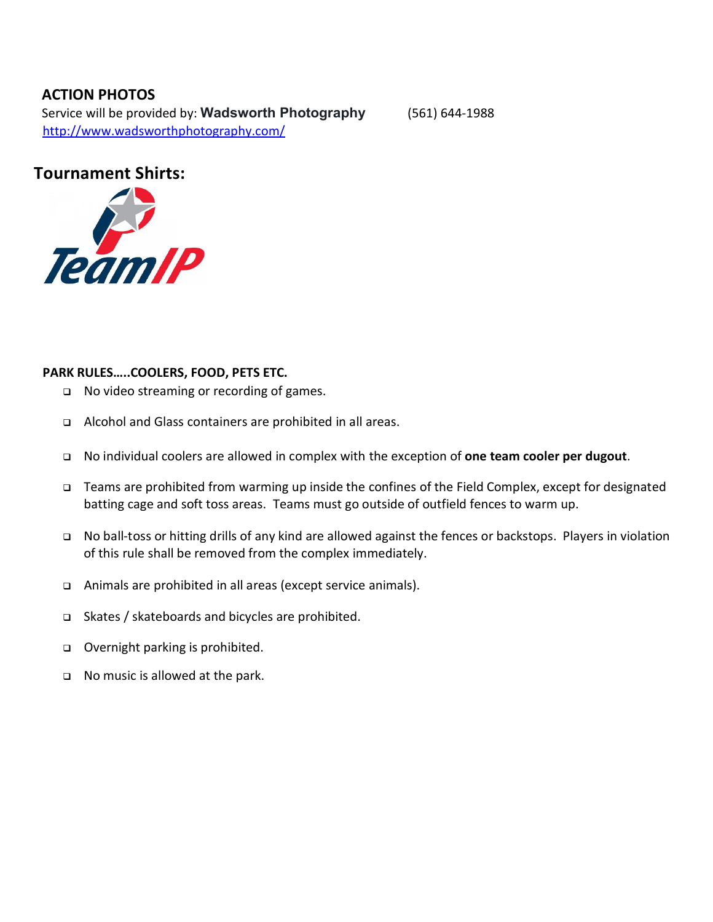# **ACTION PHOTOS**

Service will be provided by: **Wadsworth Photography** (561) 644-1988 <http://www.wadsworthphotography.com/>

# **Tournament Shirts:**



## **PARK RULES…..COOLERS, FOOD, PETS ETC.**

- No video streaming or recording of games.
- Alcohol and Glass containers are prohibited in all areas.
- No individual coolers are allowed in complex with the exception of **one team cooler per dugout**.
- Teams are prohibited from warming up inside the confines of the Field Complex, except for designated batting cage and soft toss areas. Teams must go outside of outfield fences to warm up.
- No ball-toss or hitting drills of any kind are allowed against the fences or backstops. Players in violation of this rule shall be removed from the complex immediately.
- Animals are prohibited in all areas (except service animals).
- Skates / skateboards and bicycles are prohibited.
- □ Overnight parking is prohibited.
- □ No music is allowed at the park.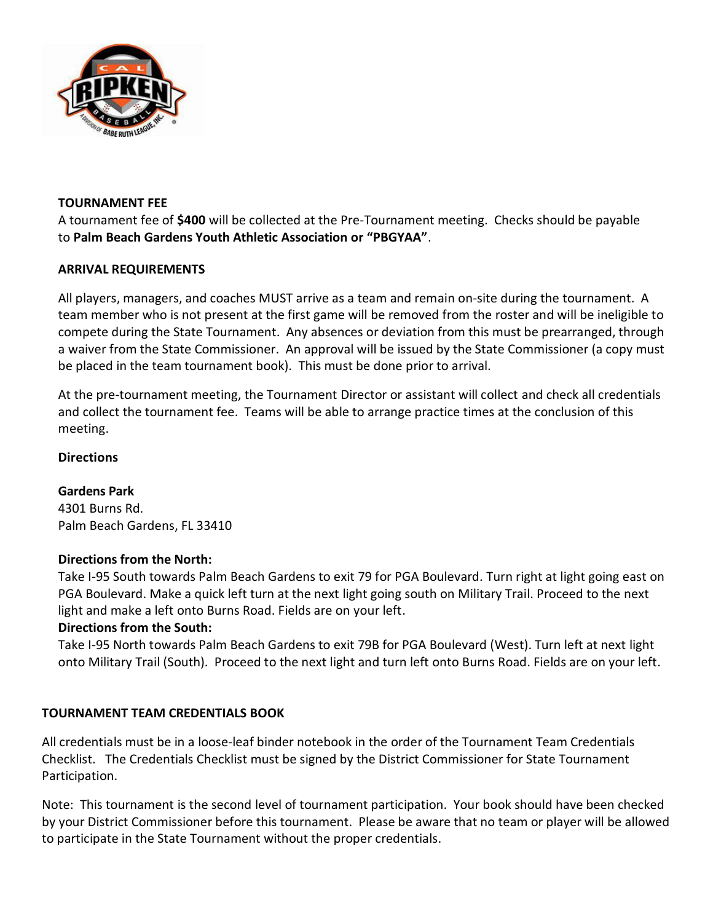

## **TOURNAMENT FEE**

A tournament fee of **\$400** will be collected at the Pre-Tournament meeting. Checks should be payable to **Palm Beach Gardens Youth Athletic Association or "PBGYAA"**.

# **ARRIVAL REQUIREMENTS**

All players, managers, and coaches MUST arrive as a team and remain on-site during the tournament. A team member who is not present at the first game will be removed from the roster and will be ineligible to compete during the State Tournament. Any absences or deviation from this must be prearranged, through a waiver from the State Commissioner. An approval will be issued by the State Commissioner (a copy must be placed in the team tournament book). This must be done prior to arrival.

At the pre-tournament meeting, the Tournament Director or assistant will collect and check all credentials and collect the tournament fee. Teams will be able to arrange practice times at the conclusion of this meeting.

# **Directions**

**Gardens Park** 4301 Burns Rd. Palm Beach Gardens, FL 33410

## **Directions from the North:**

Take I-95 South towards Palm Beach Gardens to exit 79 for PGA Boulevard. Turn right at light going east on PGA Boulevard. Make a quick left turn at the next light going south on Military Trail. Proceed to the next light and make a left onto Burns Road. Fields are on your left.

# **Directions from the South:**

Take I-95 North towards Palm Beach Gardens to exit 79B for PGA Boulevard (West). Turn left at next light onto Military Trail (South). Proceed to the next light and turn left onto Burns Road. Fields are on your left.

# **TOURNAMENT TEAM CREDENTIALS BOOK**

All credentials must be in a loose-leaf binder notebook in the order of the Tournament Team Credentials Checklist. The Credentials Checklist must be signed by the District Commissioner for State Tournament Participation.

Note: This tournament is the second level of tournament participation. Your book should have been checked by your District Commissioner before this tournament. Please be aware that no team or player will be allowed to participate in the State Tournament without the proper credentials.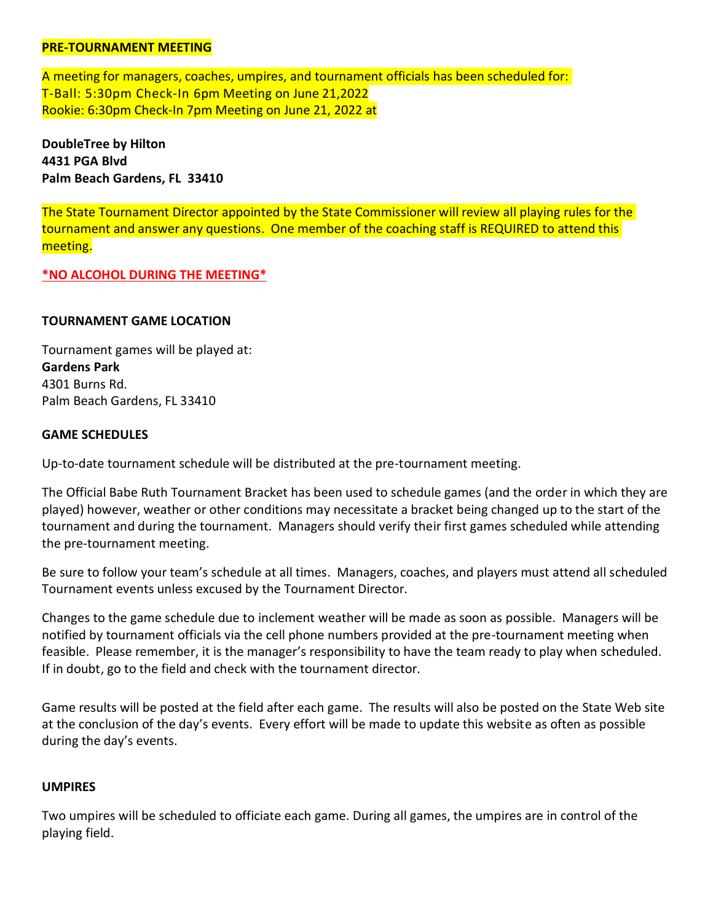#### **PRE-TOURNAMENT MEETING**

A meeting for managers, coaches, umpires, and tournament officials has been scheduled for: T-Ball: 5:30pm Check-In 6pm Meeting on June 21,2022 Rookie: 6:30pm Check-In 7pm Meeting on June 21, 2022 at

**DoubleTree by Hilton 4431 PGA Blvd Palm Beach Gardens, FL 33410**

The State Tournament Director appointed by the State Commissioner will review all playing rules for the tournament and answer any questions. One member of the coaching staff is REQUIRED to attend this meeting.

#### **\*NO ALCOHOL DURING THE MEETING\***

#### **TOURNAMENT GAME LOCATION**

Tournament games will be played at: **Gardens Park** 4301 Burns Rd. Palm Beach Gardens, FL 33410

#### **GAME SCHEDULES**

Up-to-date tournament schedule will be distributed at the pre-tournament meeting.

The Official Babe Ruth Tournament Bracket has been used to schedule games (and the order in which they are played) however, weather or other conditions may necessitate a bracket being changed up to the start of the tournament and during the tournament. Managers should verify their first games scheduled while attending the pre-tournament meeting.

Be sure to follow your team's schedule at all times. Managers, coaches, and players must attend all scheduled Tournament events unless excused by the Tournament Director.

Changes to the game schedule due to inclement weather will be made as soon as possible. Managers will be notified by tournament officials via the cell phone numbers provided at the pre-tournament meeting when feasible. Please remember, it is the manager's responsibility to have the team ready to play when scheduled. If in doubt, go to the field and check with the tournament director.

Game results will be posted at the field after each game. The results will also be posted on the State Web site at the conclusion of the day's events. Every effort will be made to update this website as often as possible during the day's events.

#### **UMPIRES**

Two umpires will be scheduled to officiate each game. During all games, the umpires are in control of the playing field.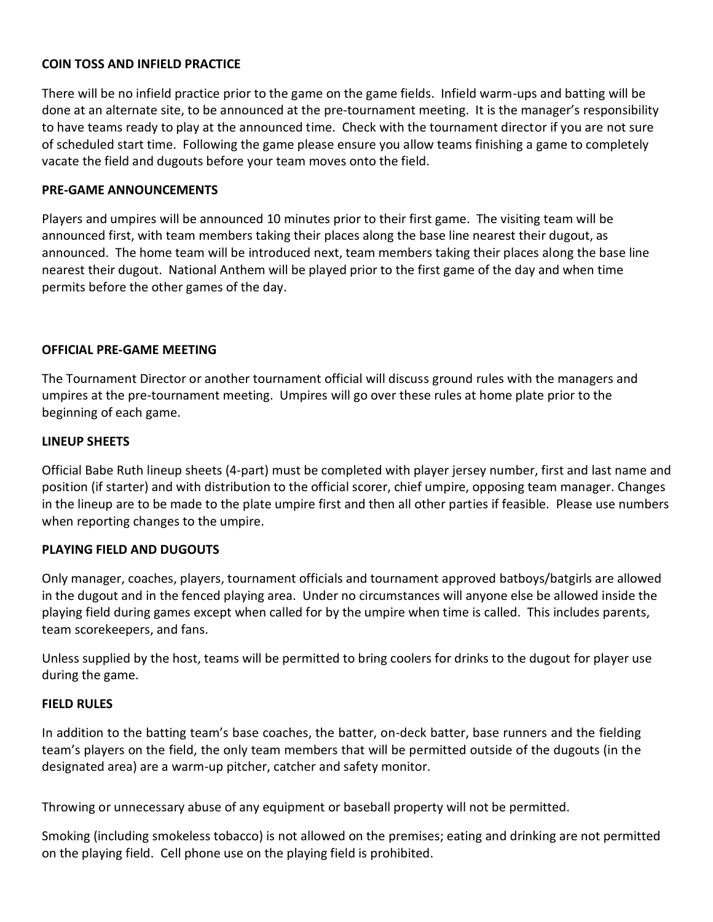# **COIN TOSS AND INFIELD PRACTICE**

There will be no infield practice prior to the game on the game fields. Infield warm-ups and batting will be done at an alternate site, to be announced at the pre-tournament meeting. It is the manager's responsibility to have teams ready to play at the announced time. Check with the tournament director if you are not sure of scheduled start time. Following the game please ensure you allow teams finishing a game to completely vacate the field and dugouts before your team moves onto the field.

## **PRE-GAME ANNOUNCEMENTS**

Players and umpires will be announced 10 minutes prior to their first game. The visiting team will be announced first, with team members taking their places along the base line nearest their dugout, as announced. The home team will be introduced next, team members taking their places along the base line nearest their dugout. National Anthem will be played prior to the first game of the day and when time permits before the other games of the day.

#### **OFFICIAL PRE-GAME MEETING**

The Tournament Director or another tournament official will discuss ground rules with the managers and umpires at the pre-tournament meeting. Umpires will go over these rules at home plate prior to the beginning of each game.

#### **LINEUP SHEETS**

Official Babe Ruth lineup sheets (4-part) must be completed with player jersey number, first and last name and position (if starter) and with distribution to the official scorer, chief umpire, opposing team manager. Changes in the lineup are to be made to the plate umpire first and then all other parties if feasible. Please use numbers when reporting changes to the umpire.

## **PLAYING FIELD AND DUGOUTS**

Only manager, coaches, players, tournament officials and tournament approved batboys/batgirls are allowed in the dugout and in the fenced playing area. Under no circumstances will anyone else be allowed inside the playing field during games except when called for by the umpire when time is called. This includes parents, team scorekeepers, and fans.

Unless supplied by the host, teams will be permitted to bring coolers for drinks to the dugout for player use during the game.

#### **FIELD RULES**

In addition to the batting team's base coaches, the batter, on-deck batter, base runners and the fielding team's players on the field, the only team members that will be permitted outside of the dugouts (in the designated area) are a warm-up pitcher, catcher and safety monitor.

Throwing or unnecessary abuse of any equipment or baseball property will not be permitted.

Smoking (including smokeless tobacco) is not allowed on the premises; eating and drinking are not permitted on the playing field. Cell phone use on the playing field is prohibited.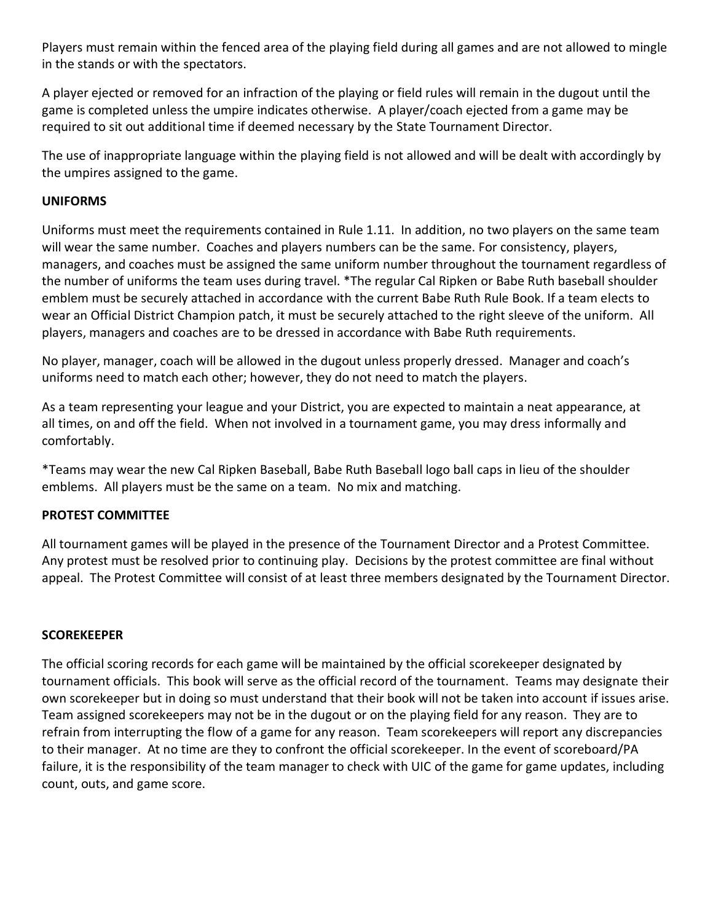Players must remain within the fenced area of the playing field during all games and are not allowed to mingle in the stands or with the spectators.

A player ejected or removed for an infraction of the playing or field rules will remain in the dugout until the game is completed unless the umpire indicates otherwise. A player/coach ejected from a game may be required to sit out additional time if deemed necessary by the State Tournament Director.

The use of inappropriate language within the playing field is not allowed and will be dealt with accordingly by the umpires assigned to the game.

## **UNIFORMS**

Uniforms must meet the requirements contained in Rule 1.11. In addition, no two players on the same team will wear the same number. Coaches and players numbers can be the same. For consistency, players, managers, and coaches must be assigned the same uniform number throughout the tournament regardless of the number of uniforms the team uses during travel. \*The regular Cal Ripken or Babe Ruth baseball shoulder emblem must be securely attached in accordance with the current Babe Ruth Rule Book. If a team elects to wear an Official District Champion patch, it must be securely attached to the right sleeve of the uniform. All players, managers and coaches are to be dressed in accordance with Babe Ruth requirements.

No player, manager, coach will be allowed in the dugout unless properly dressed. Manager and coach's uniforms need to match each other; however, they do not need to match the players.

As a team representing your league and your District, you are expected to maintain a neat appearance, at all times, on and off the field. When not involved in a tournament game, you may dress informally and comfortably.

\*Teams may wear the new Cal Ripken Baseball, Babe Ruth Baseball logo ball caps in lieu of the shoulder emblems. All players must be the same on a team. No mix and matching.

# **PROTEST COMMITTEE**

All tournament games will be played in the presence of the Tournament Director and a Protest Committee. Any protest must be resolved prior to continuing play. Decisions by the protest committee are final without appeal. The Protest Committee will consist of at least three members designated by the Tournament Director.

## **SCOREKEEPER**

The official scoring records for each game will be maintained by the official scorekeeper designated by tournament officials. This book will serve as the official record of the tournament. Teams may designate their own scorekeeper but in doing so must understand that their book will not be taken into account if issues arise. Team assigned scorekeepers may not be in the dugout or on the playing field for any reason. They are to refrain from interrupting the flow of a game for any reason. Team scorekeepers will report any discrepancies to their manager. At no time are they to confront the official scorekeeper. In the event of scoreboard/PA failure, it is the responsibility of the team manager to check with UIC of the game for game updates, including count, outs, and game score.